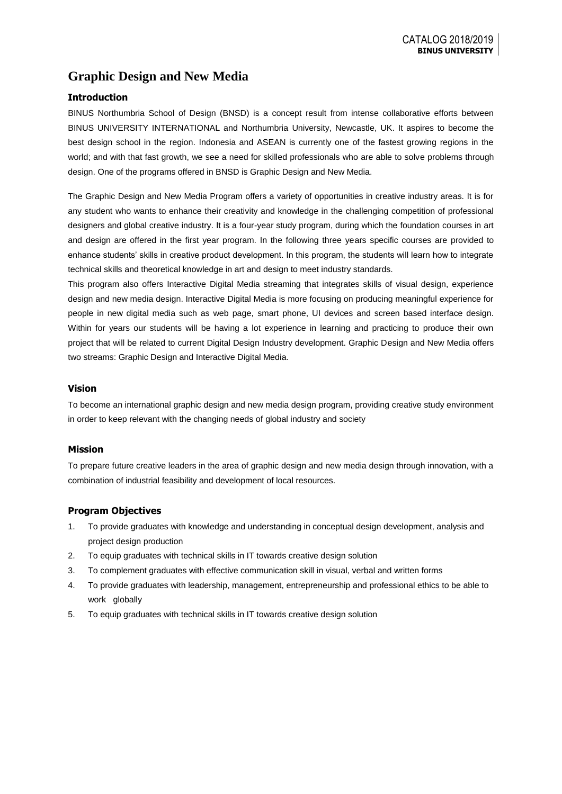# **Graphic Design and New Media**

## **Introduction**

BINUS Northumbria School of Design (BNSD) is a concept result from intense collaborative efforts between BINUS UNIVERSITY INTERNATIONAL and Northumbria University, Newcastle, UK. It aspires to become the best design school in the region. Indonesia and ASEAN is currently one of the fastest growing regions in the world; and with that fast growth, we see a need for skilled professionals who are able to solve problems through design. One of the programs offered in BNSD is Graphic Design and New Media.

The Graphic Design and New Media Program offers a variety of opportunities in creative industry areas. It is for any student who wants to enhance their creativity and knowledge in the challenging competition of professional designers and global creative industry. It is a four-year study program, during which the foundation courses in art and design are offered in the first year program. In the following three years specific courses are provided to enhance students' skills in creative product development. In this program, the students will learn how to integrate technical skills and theoretical knowledge in art and design to meet industry standards.

This program also offers Interactive Digital Media streaming that integrates skills of visual design, experience design and new media design. Interactive Digital Media is more focusing on producing meaningful experience for people in new digital media such as web page, smart phone, UI devices and screen based interface design. Within for years our students will be having a lot experience in learning and practicing to produce their own project that will be related to current Digital Design Industry development. Graphic Design and New Media offers two streams: Graphic Design and Interactive Digital Media.

## **Vision**

To become an international graphic design and new media design program, providing creative study environment in order to keep relevant with the changing needs of global industry and society

## **Mission**

To prepare future creative leaders in the area of graphic design and new media design through innovation, with a combination of industrial feasibility and development of local resources.

## **Program Objectives**

- 1. To provide graduates with knowledge and understanding in conceptual design development, analysis and project design production
- 2. To equip graduates with technical skills in IT towards creative design solution
- 3. To complement graduates with effective communication skill in visual, verbal and written forms
- 4. To provide graduates with leadership, management, entrepreneurship and professional ethics to be able to work globally
- 5. To equip graduates with technical skills in IT towards creative design solution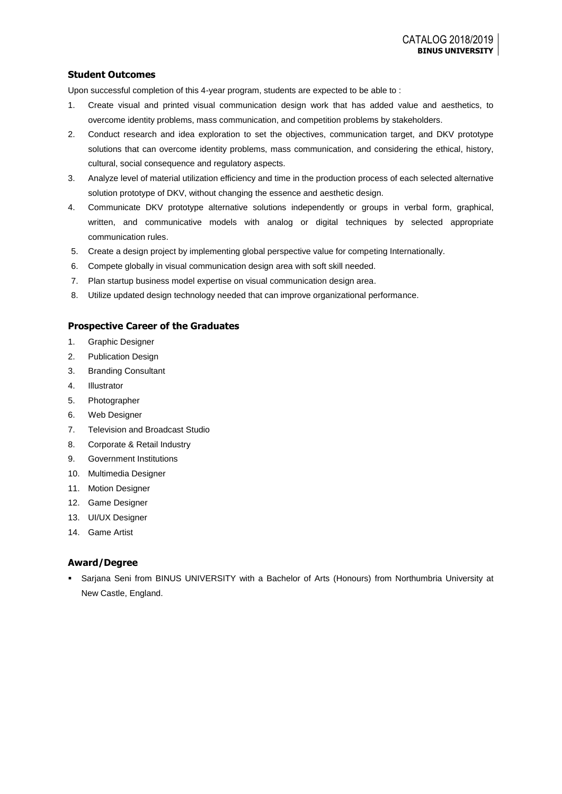## **Student Outcomes**

Upon successful completion of this 4-year program, students are expected to be able to :

- 1. Create visual and printed visual communication design work that has added value and aesthetics, to overcome identity problems, mass communication, and competition problems by stakeholders.
- 2. Conduct research and idea exploration to set the objectives, communication target, and DKV prototype solutions that can overcome identity problems, mass communication, and considering the ethical, history, cultural, social consequence and regulatory aspects.
- 3. Analyze level of material utilization efficiency and time in the production process of each selected alternative solution prototype of DKV, without changing the essence and aesthetic design.
- 4. Communicate DKV prototype alternative solutions independently or groups in verbal form, graphical, written, and communicative models with analog or digital techniques by selected appropriate communication rules.
- 5. Create a design project by implementing global perspective value for competing Internationally.
- 6. Compete globally in visual communication design area with soft skill needed.
- 7. Plan startup business model expertise on visual communication design area.
- 8. Utilize updated design technology needed that can improve organizational performance.

### **Prospective Career of the Graduates**

- 1. Graphic Designer
- 2. Publication Design
- 3. Branding Consultant
- 4. Illustrator
- 5. Photographer
- 6. Web Designer
- 7. Television and Broadcast Studio
- 8. Corporate & Retail Industry
- 9. Government Institutions
- 10. Multimedia Designer
- 11. Motion Designer
- 12. Game Designer
- 13. UI/UX Designer
- 14. Game Artist

## **Award/Degree**

 Sarjana Seni from BINUS UNIVERSITY with a Bachelor of Arts (Honours) from Northumbria University at New Castle, England.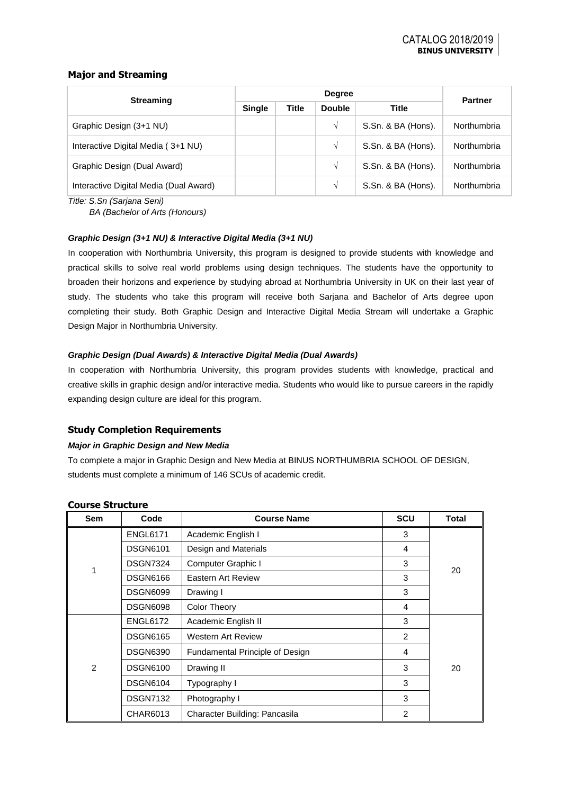## **Major and Streaming**

| <b>Streaming</b>                       |               | <b>Partner</b> |               |                    |             |  |
|----------------------------------------|---------------|----------------|---------------|--------------------|-------------|--|
|                                        | <b>Single</b> | <b>Title</b>   | <b>Double</b> | <b>Title</b>       |             |  |
| Graphic Design (3+1 NU)                |               |                | √             | S.Sn. & BA (Hons). | Northumbria |  |
| Interactive Digital Media (3+1 NU)     |               |                | V             | S.Sn. & BA (Hons). | Northumbria |  |
| Graphic Design (Dual Award)            |               |                | V             | S.Sn. & BA (Hons). | Northumbria |  |
| Interactive Digital Media (Dual Award) |               |                | V             | S.Sn. & BA (Hons). | Northumbria |  |

*Title: S.Sn (Sarjana Seni)*

*BA (Bachelor of Arts (Honours)*

#### *Graphic Design (3+1 NU) & Interactive Digital Media (3+1 NU)*

In cooperation with Northumbria University, this program is designed to provide students with knowledge and practical skills to solve real world problems using design techniques. The students have the opportunity to broaden their horizons and experience by studying abroad at Northumbria University in UK on their last year of study. The students who take this program will receive both Sarjana and Bachelor of Arts degree upon completing their study. Both Graphic Design and Interactive Digital Media Stream will undertake a Graphic Design Major in Northumbria University.

#### *Graphic Design (Dual Awards) & Interactive Digital Media (Dual Awards)*

In cooperation with Northumbria University, this program provides students with knowledge, practical and creative skills in graphic design and/or interactive media. Students who would like to pursue careers in the rapidly expanding design culture are ideal for this program.

## **Study Completion Requirements**

#### *Major in Graphic Design and New Media*

To complete a major in Graphic Design and New Media at BINUS NORTHUMBRIA SCHOOL OF DESIGN, students must complete a minimum of 146 SCUs of academic credit.

| Sem           | Code            | <b>Course Name</b>                     | <b>SCU</b>     | <b>Total</b> |
|---------------|-----------------|----------------------------------------|----------------|--------------|
|               | <b>ENGL6171</b> | Academic English I                     | 3              |              |
|               | <b>DSGN6101</b> | Design and Materials                   | 4              |              |
|               | <b>DSGN7324</b> | Computer Graphic I                     | 3              |              |
|               | <b>DSGN6166</b> | Eastern Art Review                     | 3              | 20           |
|               | <b>DSGN6099</b> | Drawing I                              |                |              |
|               | <b>DSGN6098</b> | <b>Color Theory</b>                    | 4              |              |
|               | <b>ENGL6172</b> | Academic English II                    | 3              | 20           |
|               | <b>DSGN6165</b> | Western Art Review                     | 2              |              |
|               | <b>DSGN6390</b> | <b>Fundamental Principle of Design</b> | 4              |              |
| $\mathcal{P}$ | <b>DSGN6100</b> | Drawing II                             | 3              |              |
|               | <b>DSGN6104</b> | Typography I                           | 3              |              |
|               | <b>DSGN7132</b> | Photography I                          | 3              |              |
|               | CHAR6013        | Character Building: Pancasila          | $\overline{2}$ |              |

#### **Course Structure**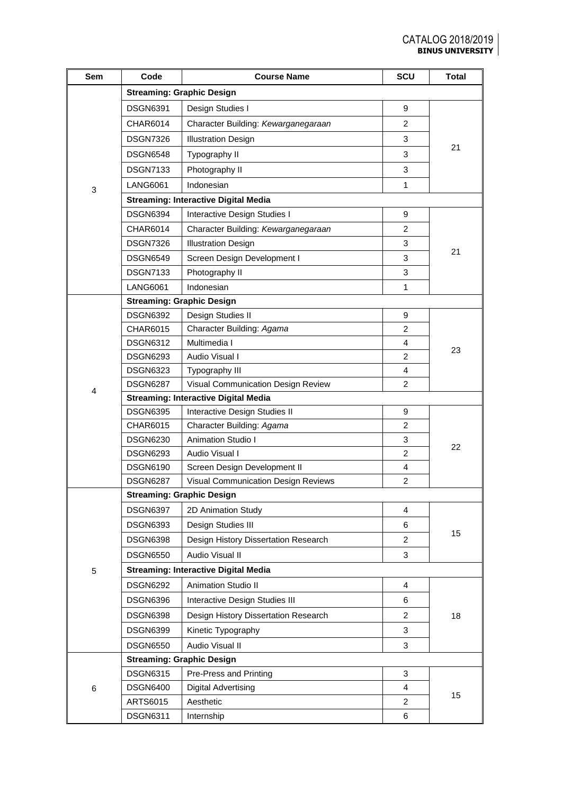| Sem | Code                                        | <b>Course Name</b>                          | SCU            | <b>Total</b> |  |  |  |
|-----|---------------------------------------------|---------------------------------------------|----------------|--------------|--|--|--|
|     |                                             | <b>Streaming: Graphic Design</b>            |                |              |  |  |  |
|     | <b>DSGN6391</b>                             | Design Studies I                            | 9              |              |  |  |  |
|     | <b>CHAR6014</b>                             | Character Building: Kewarganegaraan         | 2              |              |  |  |  |
|     | <b>DSGN7326</b>                             | <b>Illustration Design</b>                  | 3              |              |  |  |  |
|     | <b>DSGN6548</b>                             | Typography II                               | 3              | 21           |  |  |  |
|     | <b>DSGN7133</b>                             | Photography II                              | 3              |              |  |  |  |
|     | <b>LANG6061</b>                             | Indonesian                                  | $\mathbf{1}$   |              |  |  |  |
| 3   |                                             | <b>Streaming: Interactive Digital Media</b> |                |              |  |  |  |
|     | <b>DSGN6394</b>                             | Interactive Design Studies I                | 9              |              |  |  |  |
|     | <b>CHAR6014</b>                             | Character Building: Kewarganegaraan         | $\overline{2}$ |              |  |  |  |
|     | <b>DSGN7326</b>                             | <b>Illustration Design</b>                  | 3              |              |  |  |  |
|     | <b>DSGN6549</b>                             | Screen Design Development I                 | 3              | 21           |  |  |  |
|     | <b>DSGN7133</b>                             | Photography II                              | 3              |              |  |  |  |
|     | <b>LANG6061</b>                             | Indonesian                                  | 1              |              |  |  |  |
|     |                                             | <b>Streaming: Graphic Design</b>            |                |              |  |  |  |
|     | <b>DSGN6392</b>                             | Design Studies II                           | 9              |              |  |  |  |
|     | CHAR6015                                    | Character Building: Agama                   | 2              |              |  |  |  |
|     | <b>DSGN6312</b>                             | Multimedia I                                | 4              |              |  |  |  |
|     | <b>DSGN6293</b>                             | Audio Visual I                              | 2              | 23           |  |  |  |
|     | <b>DSGN6323</b>                             | Typography III                              | 4              |              |  |  |  |
| 4   | <b>DSGN6287</b>                             | Visual Communication Design Review          | 2              |              |  |  |  |
|     | <b>Streaming: Interactive Digital Media</b> |                                             |                |              |  |  |  |
|     | <b>DSGN6395</b>                             | Interactive Design Studies II<br>9          |                |              |  |  |  |
|     | CHAR6015                                    | Character Building: Agama                   | $\overline{2}$ |              |  |  |  |
|     | <b>DSGN6230</b>                             | <b>Animation Studio I</b>                   | 3              | 22           |  |  |  |
|     | <b>DSGN6293</b>                             | Audio Visual I                              | 2              |              |  |  |  |
|     | <b>DSGN6190</b>                             | Screen Design Development II                | 4              |              |  |  |  |
|     | <b>DSGN6287</b>                             | Visual Communication Design Reviews         | $\overline{2}$ |              |  |  |  |
|     |                                             | Streaming: Graphic Design                   |                |              |  |  |  |
|     | <b>DSGN6397</b>                             | 2D Animation Study                          | 4              |              |  |  |  |
|     | <b>DSGN6393</b>                             | Design Studies III                          | 6              | 15           |  |  |  |
|     | <b>DSGN6398</b>                             | Design History Dissertation Research        | 2              |              |  |  |  |
|     | <b>DSGN6550</b>                             | Audio Visual II                             | 3              |              |  |  |  |
| 5   |                                             | <b>Streaming: Interactive Digital Media</b> |                |              |  |  |  |
|     | <b>DSGN6292</b>                             | <b>Animation Studio II</b>                  | 4              |              |  |  |  |
|     | <b>DSGN6396</b>                             | Interactive Design Studies III              | 6              |              |  |  |  |
|     | <b>DSGN6398</b>                             | Design History Dissertation Research        | $\overline{2}$ | 18           |  |  |  |
|     | <b>DSGN6399</b>                             | Kinetic Typography                          | 3              |              |  |  |  |
|     | <b>DSGN6550</b>                             | Audio Visual II                             | 3              |              |  |  |  |
|     |                                             | <b>Streaming: Graphic Design</b>            |                |              |  |  |  |
|     | <b>DSGN6315</b>                             | Pre-Press and Printing                      | 3              |              |  |  |  |
| 6   | <b>DSGN6400</b>                             | Digital Advertising                         | 4              |              |  |  |  |
|     | ARTS6015                                    | Aesthetic                                   | $\overline{2}$ | 15           |  |  |  |
|     | <b>DSGN6311</b>                             | Internship                                  | 6              |              |  |  |  |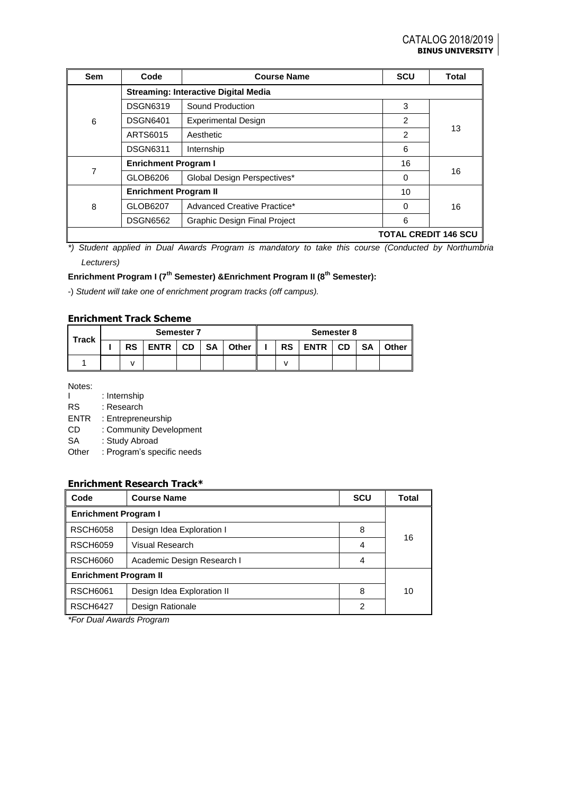| <b>Sem</b>                  | Code                         | <b>Course Name</b>                          | <b>SCU</b>     | <b>Total</b> |  |  |  |
|-----------------------------|------------------------------|---------------------------------------------|----------------|--------------|--|--|--|
|                             |                              | <b>Streaming: Interactive Digital Media</b> |                |              |  |  |  |
|                             | <b>DSGN6319</b>              | Sound Production                            | 3              |              |  |  |  |
| 6                           | <b>DSGN6401</b>              | <b>Experimental Design</b>                  | 2              |              |  |  |  |
|                             | ARTS6015                     | Aesthetic                                   | $\overline{2}$ | 13           |  |  |  |
|                             | <b>DSGN6311</b>              | Internship                                  | 6              |              |  |  |  |
|                             | <b>Enrichment Program I</b>  |                                             | 16             |              |  |  |  |
| 7                           | GLOB6206                     | Global Design Perspectives*                 | 0              | 16           |  |  |  |
|                             | <b>Enrichment Program II</b> |                                             | 10             |              |  |  |  |
| 8                           | GLOB6207                     | Advanced Creative Practice*                 | 0              | 16           |  |  |  |
|                             | <b>DSGN6562</b>              | <b>Graphic Design Final Project</b>         | 6              |              |  |  |  |
| <b>TOTAL CREDIT 146 SCU</b> |                              |                                             |                |              |  |  |  |

*\*) Student applied in Dual Awards Program is mandatory to take this course (Conducted by Northumbria Lecturers)*

## **Enrichment Program I (7th Semester) &Enrichment Program II (8th Semester):**

-) *Student will take one of enrichment program tracks (off campus).*

## **Enrichment Track Scheme**

| <b>Track</b> | <b>Semester 7</b> |           |             |           |           | Semester 8 |  |           |             |           |           |              |
|--------------|-------------------|-----------|-------------|-----------|-----------|------------|--|-----------|-------------|-----------|-----------|--------------|
|              |                   | <b>RS</b> | <b>ENTR</b> | <b>CD</b> | <b>SA</b> | Other      |  | <b>RS</b> | <b>ENTR</b> | <b>CD</b> | <b>SA</b> | <b>Other</b> |
|              |                   |           |             |           |           |            |  |           |             |           |           |              |

Notes:

|             | : Internship               |
|-------------|----------------------------|
| <b>RS</b>   | : Research                 |
| <b>ENTR</b> | : Entrepreneurship         |
| CD          | : Community Development    |
| SA          | : Study Abroad             |
| Other       | : Program's specific needs |
|             |                            |

## **Enrichment Research Track\***

| Code                         | <b>Course Name</b>         | <b>SCU</b> | Total |  |  |
|------------------------------|----------------------------|------------|-------|--|--|
| <b>Enrichment Program I</b>  |                            |            |       |  |  |
| <b>RSCH6058</b>              | Design Idea Exploration I  | 8          | 16    |  |  |
| <b>RSCH6059</b>              | Visual Research            | 4          |       |  |  |
| <b>RSCH6060</b>              | Academic Design Research I | 4          |       |  |  |
| <b>Enrichment Program II</b> |                            |            |       |  |  |
| <b>RSCH6061</b>              | Design Idea Exploration II | 8          | 10    |  |  |
| <b>RSCH6427</b>              | Design Rationale           | 2          |       |  |  |

*\*For Dual Awards Program*